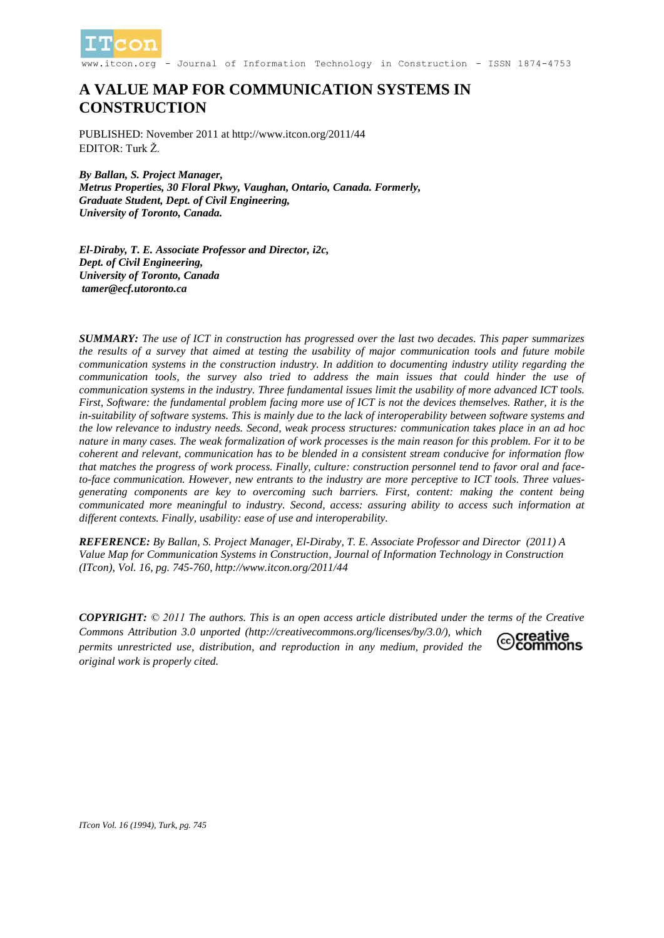

- Journal of Information Technology in Construction - ISSN 1874-4753

# **A VALUE MAP FOR COMMUNICATION SYSTEMS IN CONSTRUCTION**

PUBLISHED: November 2011 at http://www.itcon.org/2011/44 EDITOR: Turk Ž.

*By Ballan, S. Project Manager, Metrus Properties, 30 Floral Pkwy, Vaughan, Ontario, Canada. Formerly, Graduate Student, Dept. of Civil Engineering, University of Toronto, Canada.* 

*El-Diraby, T. E. Associate Professor and Director, i2c, Dept. of Civil Engineering, University of Toronto, Canada tamer@ecf.utoronto.ca*

*SUMMARY: The use of ICT in construction has progressed over the last two decades. This paper summarizes the results of a survey that aimed at testing the usability of major communication tools and future mobile communication systems in the construction industry. In addition to documenting industry utility regarding the communication tools, the survey also tried to address the main issues that could hinder the use of communication systems in the industry. Three fundamental issues limit the usability of more advanced ICT tools. First, Software: the fundamental problem facing more use of ICT is not the devices themselves. Rather, it is the in-suitability of software systems. This is mainly due to the lack of interoperability between software systems and the low relevance to industry needs. Second, weak process structures: communication takes place in an ad hoc nature in many cases. The weak formalization of work processes is the main reason for this problem. For it to be coherent and relevant, communication has to be blended in a consistent stream conducive for information flow that matches the progress of work process. Finally, culture: construction personnel tend to favor oral and faceto-face communication. However, new entrants to the industry are more perceptive to ICT tools. Three valuesgenerating components are key to overcoming such barriers. First, content: making the content being communicated more meaningful to industry. Second, access: assuring ability to access such information at different contexts. Finally, usability: ease of use and interoperability.* 

*REFERENCE: By Ballan, S. Project Manager, El-Diraby, T. E. Associate Professor and Director (2011) A Value Map for Communication Systems in Construction, Journal of Information Technology in Construction (ITcon), Vol. 16, pg. 745-760, http://www.itcon.org/2011/44*

*COPYRIGHT: © 2011 The authors. This is an open access article distributed under the terms of the Creative Commons Attribution 3.0 unported (http://creativecommons.org/licenses/by/3.0/), which* €creative commons *permits unrestricted use, distribution, and reproduction in any medium, provided the original work is properly cited.*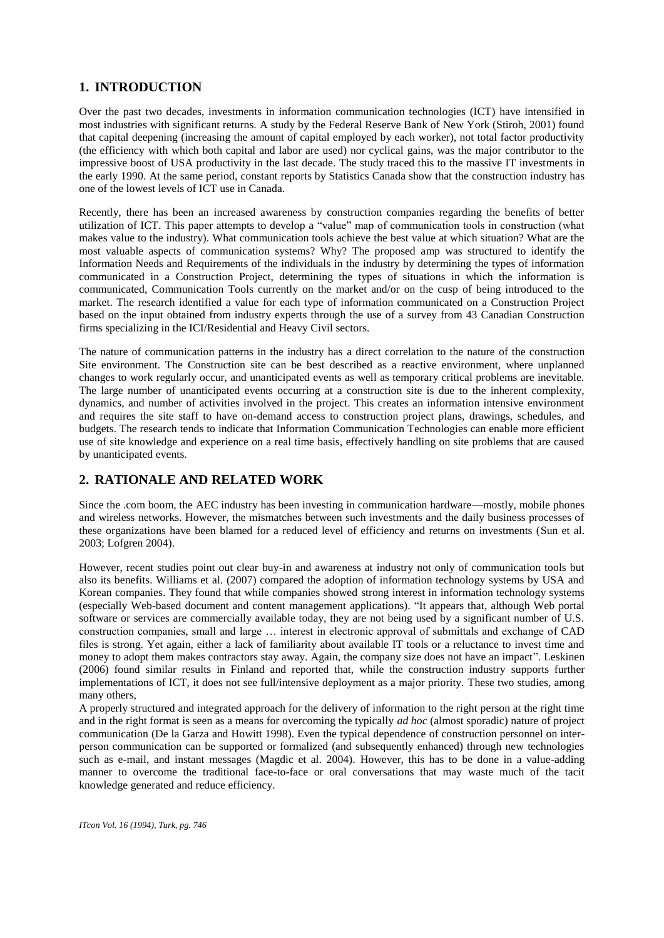# **1. INTRODUCTION**

Over the past two decades, investments in information communication technologies (ICT) have intensified in most industries with significant returns. A study by the Federal Reserve Bank of New York (Stiroh, 2001) found that capital deepening (increasing the amount of capital employed by each worker), not total factor productivity (the efficiency with which both capital and labor are used) nor cyclical gains, was the major contributor to the impressive boost of USA productivity in the last decade. The study traced this to the massive IT investments in the early 1990. At the same period, constant reports by Statistics Canada show that the construction industry has one of the lowest levels of ICT use in Canada.

Recently, there has been an increased awareness by construction companies regarding the benefits of better utilization of ICT. This paper attempts to develop a "value" map of communication tools in construction (what makes value to the industry). What communication tools achieve the best value at which situation? What are the most valuable aspects of communication systems? Why? The proposed amp was structured to identify the Information Needs and Requirements of the individuals in the industry by determining the types of information communicated in a Construction Project, determining the types of situations in which the information is communicated, Communication Tools currently on the market and/or on the cusp of being introduced to the market. The research identified a value for each type of information communicated on a Construction Project based on the input obtained from industry experts through the use of a survey from 43 Canadian Construction firms specializing in the ICI/Residential and Heavy Civil sectors.

The nature of communication patterns in the industry has a direct correlation to the nature of the construction Site environment. The Construction site can be best described as a reactive environment, where unplanned changes to work regularly occur, and unanticipated events as well as temporary critical problems are inevitable. The large number of unanticipated events occurring at a construction site is due to the inherent complexity, dynamics, and number of activities involved in the project. This creates an information intensive environment and requires the site staff to have on-demand access to construction project plans, drawings, schedules, and budgets. The research tends to indicate that Information Communication Technologies can enable more efficient use of site knowledge and experience on a real time basis, effectively handling on site problems that are caused by unanticipated events.

# **2. RATIONALE AND RELATED WORK**

Since the .com boom, the AEC industry has been investing in communication hardware—mostly, mobile phones and wireless networks. However, the mismatches between such investments and the daily business processes of these organizations have been blamed for a reduced level of efficiency and returns on investments (Sun et al. 2003; Lofgren 2004).

However, recent studies point out clear buy-in and awareness at industry not only of communication tools but also its benefits. Williams et al. (2007) compared the adoption of information technology systems by USA and Korean companies. They found that while companies showed strong interest in information technology systems (especially Web-based document and content management applications). ―It appears that, although Web portal software or services are commercially available today, they are not being used by a significant number of U.S. construction companies, small and large … interest in electronic approval of submittals and exchange of CAD files is strong. Yet again, either a lack of familiarity about available IT tools or a reluctance to invest time and money to adopt them makes contractors stay away. Again, the company size does not have an impact". Leskinen (2006) found similar results in Finland and reported that, while the construction industry supports further implementations of ICT, it does not see full/intensive deployment as a major priority. These two studies, among many others,

A properly structured and integrated approach for the delivery of information to the right person at the right time and in the right format is seen as a means for overcoming the typically *ad hoc* (almost sporadic) nature of project communication (De la Garza and Howitt 1998). Even the typical dependence of construction personnel on interperson communication can be supported or formalized (and subsequently enhanced) through new technologies such as e-mail, and instant messages (Magdic et al. 2004). However, this has to be done in a value-adding manner to overcome the traditional face-to-face or oral conversations that may waste much of the tacit knowledge generated and reduce efficiency.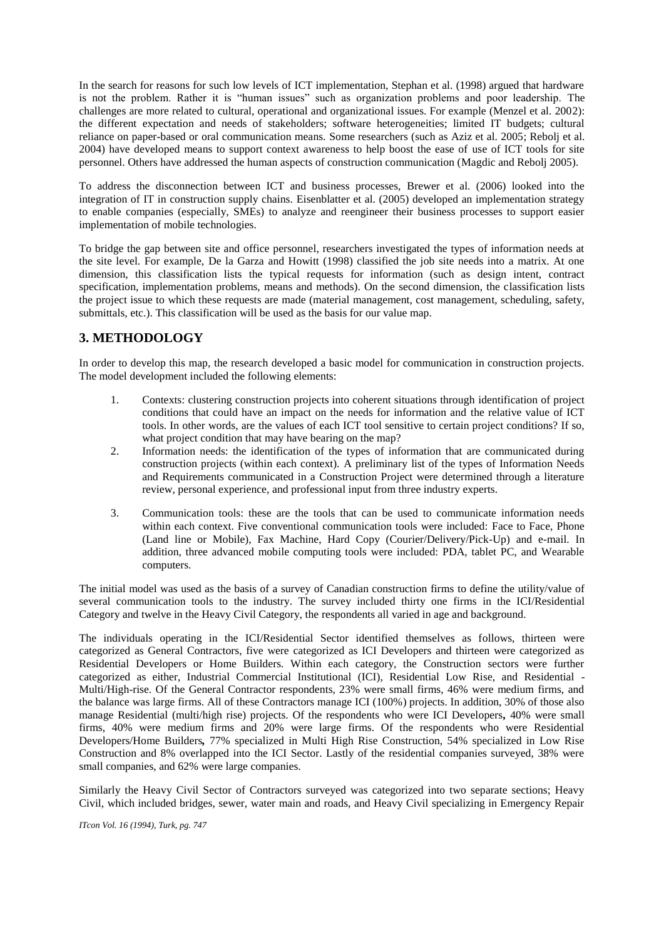In the search for reasons for such low levels of ICT implementation, Stephan et al. (1998) argued that hardware is not the problem. Rather it is "human issues" such as organization problems and poor leadership. The challenges are more related to cultural, operational and organizational issues. For example (Menzel et al. 2002): the different expectation and needs of stakeholders; software heterogeneities; limited IT budgets; cultural reliance on paper-based or oral communication means. Some researchers (such as Aziz et al. 2005; Rebolj et al. 2004) have developed means to support context awareness to help boost the ease of use of ICT tools for site personnel. Others have addressed the human aspects of construction communication (Magdic and Rebolj 2005).

To address the disconnection between ICT and business processes, Brewer et al. (2006) looked into the integration of IT in construction supply chains. Eisenblatter et al. (2005) developed an implementation strategy to enable companies (especially, SMEs) to analyze and reengineer their business processes to support easier implementation of mobile technologies.

To bridge the gap between site and office personnel, researchers investigated the types of information needs at the site level. For example, De la Garza and Howitt (1998) classified the job site needs into a matrix. At one dimension, this classification lists the typical requests for information (such as design intent, contract specification, implementation problems, means and methods). On the second dimension, the classification lists the project issue to which these requests are made (material management, cost management, scheduling, safety, submittals, etc.). This classification will be used as the basis for our value map.

# **3. METHODOLOGY**

In order to develop this map, the research developed a basic model for communication in construction projects. The model development included the following elements:

- 1. Contexts: clustering construction projects into coherent situations through identification of project conditions that could have an impact on the needs for information and the relative value of ICT tools. In other words, are the values of each ICT tool sensitive to certain project conditions? If so, what project condition that may have bearing on the map?
- 2. Information needs: the identification of the types of information that are communicated during construction projects (within each context). A preliminary list of the types of Information Needs and Requirements communicated in a Construction Project were determined through a literature review, personal experience, and professional input from three industry experts.
- 3. Communication tools: these are the tools that can be used to communicate information needs within each context. Five conventional communication tools were included: Face to Face, Phone (Land line or Mobile), Fax Machine, Hard Copy (Courier/Delivery/Pick-Up) and e-mail. In addition, three advanced mobile computing tools were included: PDA, tablet PC, and Wearable computers.

The initial model was used as the basis of a survey of Canadian construction firms to define the utility/value of several communication tools to the industry. The survey included thirty one firms in the ICI/Residential Category and twelve in the Heavy Civil Category, the respondents all varied in age and background.

The individuals operating in the ICI/Residential Sector identified themselves as follows, thirteen were categorized as General Contractors, five were categorized as ICI Developers and thirteen were categorized as Residential Developers or Home Builders. Within each category, the Construction sectors were further categorized as either, Industrial Commercial Institutional (ICI), Residential Low Rise, and Residential - Multi/High-rise. Of the General Contractor respondents, 23% were small firms, 46% were medium firms, and the balance was large firms. All of these Contractors manage ICI (100%) projects. In addition, 30% of those also manage Residential (multi/high rise) projects. Of the respondents who were ICI Developers*,* 40% were small firms, 40% were medium firms and 20% were large firms. Of the respondents who were Residential Developers/Home Builders*,* 77% specialized in Multi High Rise Construction, 54% specialized in Low Rise Construction and 8% overlapped into the ICI Sector. Lastly of the residential companies surveyed, 38% were small companies, and 62% were large companies.

Similarly the Heavy Civil Sector of Contractors surveyed was categorized into two separate sections; Heavy Civil, which included bridges, sewer, water main and roads, and Heavy Civil specializing in Emergency Repair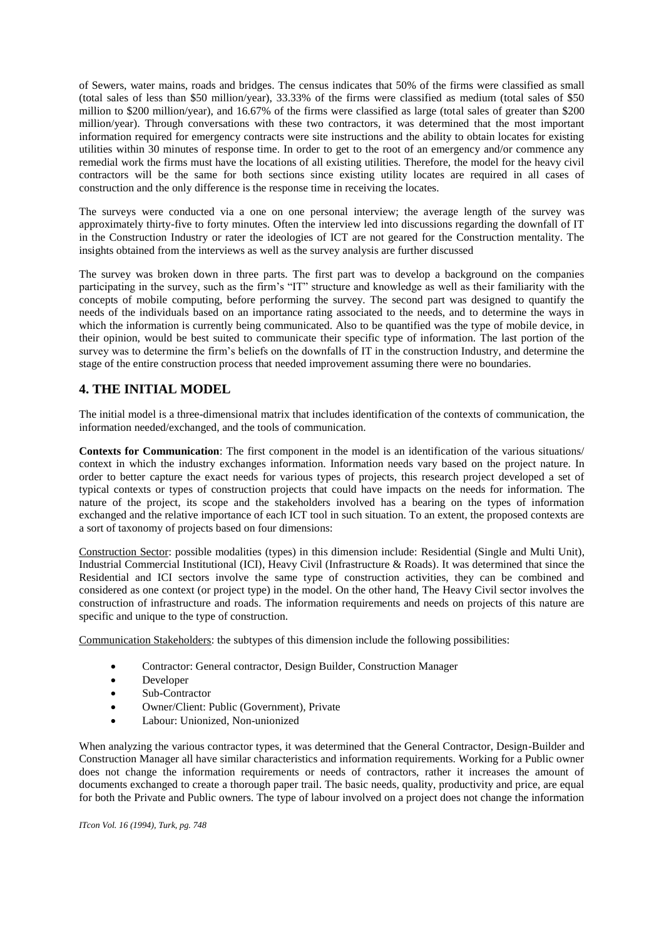of Sewers, water mains, roads and bridges. The census indicates that 50% of the firms were classified as small (total sales of less than \$50 million/year), 33.33% of the firms were classified as medium (total sales of \$50 million to \$200 million/year), and 16.67% of the firms were classified as large (total sales of greater than \$200 million/year). Through conversations with these two contractors, it was determined that the most important information required for emergency contracts were site instructions and the ability to obtain locates for existing utilities within 30 minutes of response time. In order to get to the root of an emergency and/or commence any remedial work the firms must have the locations of all existing utilities. Therefore, the model for the heavy civil contractors will be the same for both sections since existing utility locates are required in all cases of construction and the only difference is the response time in receiving the locates.

The surveys were conducted via a one on one personal interview; the average length of the survey was approximately thirty-five to forty minutes. Often the interview led into discussions regarding the downfall of IT in the Construction Industry or rater the ideologies of ICT are not geared for the Construction mentality. The insights obtained from the interviews as well as the survey analysis are further discussed

The survey was broken down in three parts. The first part was to develop a background on the companies participating in the survey, such as the firm's "IT" structure and knowledge as well as their familiarity with the concepts of mobile computing, before performing the survey. The second part was designed to quantify the needs of the individuals based on an importance rating associated to the needs, and to determine the ways in which the information is currently being communicated. Also to be quantified was the type of mobile device, in their opinion, would be best suited to communicate their specific type of information. The last portion of the survey was to determine the firm's beliefs on the downfalls of IT in the construction Industry, and determine the stage of the entire construction process that needed improvement assuming there were no boundaries.

# **4. THE INITIAL MODEL**

The initial model is a three-dimensional matrix that includes identification of the contexts of communication, the information needed/exchanged, and the tools of communication.

**Contexts for Communication**: The first component in the model is an identification of the various situations/ context in which the industry exchanges information. Information needs vary based on the project nature. In order to better capture the exact needs for various types of projects, this research project developed a set of typical contexts or types of construction projects that could have impacts on the needs for information. The nature of the project, its scope and the stakeholders involved has a bearing on the types of information exchanged and the relative importance of each ICT tool in such situation. To an extent, the proposed contexts are a sort of taxonomy of projects based on four dimensions:

Construction Sector: possible modalities (types) in this dimension include: Residential (Single and Multi Unit), Industrial Commercial Institutional (ICI), Heavy Civil (Infrastructure & Roads). It was determined that since the Residential and ICI sectors involve the same type of construction activities, they can be combined and considered as one context (or project type) in the model. On the other hand, The Heavy Civil sector involves the construction of infrastructure and roads. The information requirements and needs on projects of this nature are specific and unique to the type of construction.

Communication Stakeholders: the subtypes of this dimension include the following possibilities:

- Contractor: General contractor, Design Builder, Construction Manager
- Developer
- Sub-Contractor
- Owner/Client: Public (Government), Private
- Labour: Unionized, Non-unionized

When analyzing the various contractor types, it was determined that the General Contractor, Design-Builder and Construction Manager all have similar characteristics and information requirements. Working for a Public owner does not change the information requirements or needs of contractors, rather it increases the amount of documents exchanged to create a thorough paper trail. The basic needs, quality, productivity and price, are equal for both the Private and Public owners. The type of labour involved on a project does not change the information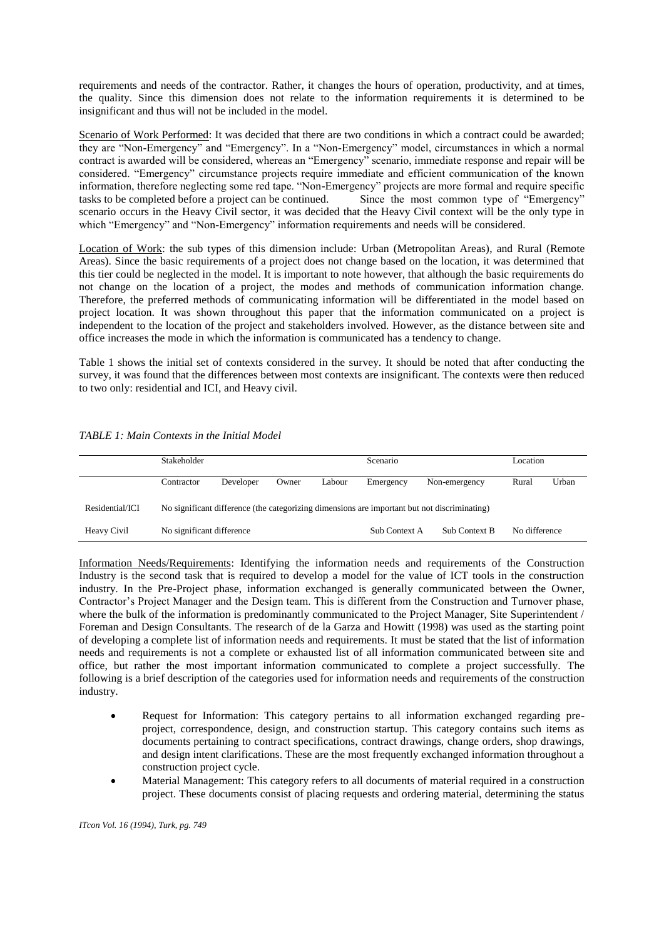requirements and needs of the contractor. Rather, it changes the hours of operation, productivity, and at times, the quality. Since this dimension does not relate to the information requirements it is determined to be insignificant and thus will not be included in the model.

Scenario of Work Performed: It was decided that there are two conditions in which a contract could be awarded; they are "Non-Emergency" and "Emergency". In a "Non-Emergency" model, circumstances in which a normal contract is awarded will be considered, whereas an "Emergency" scenario, immediate response and repair will be considered. "Emergency" circumstance projects require immediate and efficient communication of the known information, therefore neglecting some red tape. "Non-Emergency" projects are more formal and require specific tasks to be completed before a project can be continued. Since the most common type of "Emergency" scenario occurs in the Heavy Civil sector, it was decided that the Heavy Civil context will be the only type in which "Emergency" and "Non-Emergency" information requirements and needs will be considered.

Location of Work: the sub types of this dimension include: Urban (Metropolitan Areas), and Rural (Remote Areas). Since the basic requirements of a project does not change based on the location, it was determined that this tier could be neglected in the model. It is important to note however, that although the basic requirements do not change on the location of a project, the modes and methods of communication information change. Therefore, the preferred methods of communicating information will be differentiated in the model based on project location. It was shown throughout this paper that the information communicated on a project is independent to the location of the project and stakeholders involved. However, as the distance between site and office increases the mode in which the information is communicated has a tendency to change.

Table 1 shows the initial set of contexts considered in the survey. It should be noted that after conducting the survey, it was found that the differences between most contexts are insignificant. The contexts were then reduced to two only: residential and ICI, and Heavy civil.

|                 | <b>Stakeholder</b>                                                                           |           |       |               | Scenario             |               | Location |       |  |
|-----------------|----------------------------------------------------------------------------------------------|-----------|-------|---------------|----------------------|---------------|----------|-------|--|
|                 | Contractor                                                                                   | Developer | Owner | Labour        | Emergency            | Non-emergency | Rural    | Urban |  |
| Residential/ICI | No significant difference (the categorizing dimensions are important but not discriminating) |           |       |               |                      |               |          |       |  |
| Heavy Civil     | No significant difference                                                                    |           |       | Sub Context A | <b>Sub Context B</b> | No difference |          |       |  |

### *TABLE 1: Main Contexts in the Initial Model*

Information Needs/Requirements: Identifying the information needs and requirements of the Construction Industry is the second task that is required to develop a model for the value of ICT tools in the construction industry. In the Pre-Project phase, information exchanged is generally communicated between the Owner, Contractor's Project Manager and the Design team. This is different from the Construction and Turnover phase, where the bulk of the information is predominantly communicated to the Project Manager, Site Superintendent / Foreman and Design Consultants. The research of de la Garza and Howitt (1998) was used as the starting point of developing a complete list of information needs and requirements. It must be stated that the list of information needs and requirements is not a complete or exhausted list of all information communicated between site and office, but rather the most important information communicated to complete a project successfully. The following is a brief description of the categories used for information needs and requirements of the construction industry.

- Request for Information: This category pertains to all information exchanged regarding preproject, correspondence, design, and construction startup. This category contains such items as documents pertaining to contract specifications, contract drawings, change orders, shop drawings, and design intent clarifications. These are the most frequently exchanged information throughout a construction project cycle.
- Material Management: This category refers to all documents of material required in a construction project. These documents consist of placing requests and ordering material, determining the status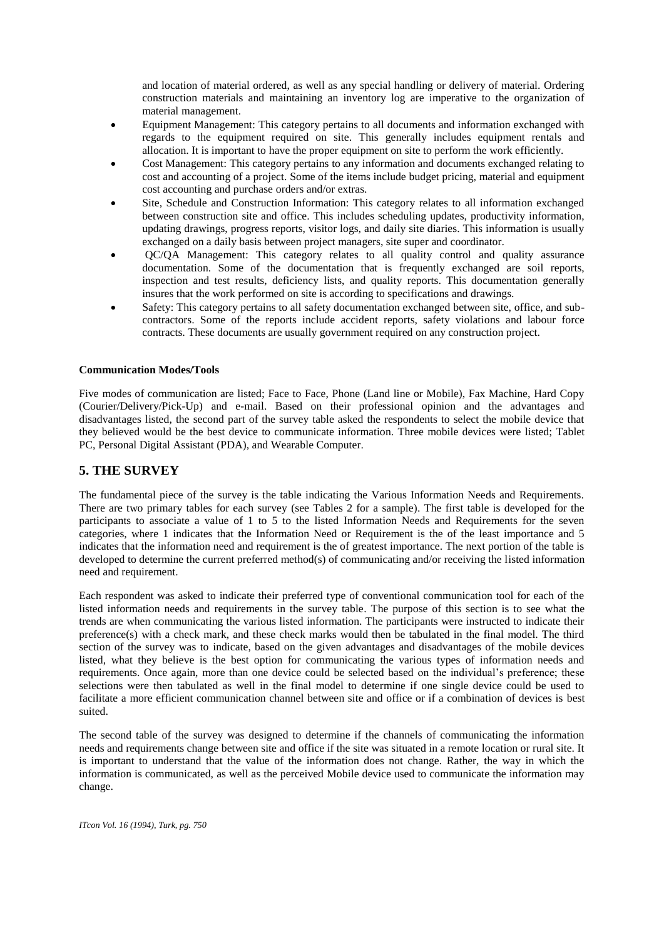and location of material ordered, as well as any special handling or delivery of material. Ordering construction materials and maintaining an inventory log are imperative to the organization of material management.

- Equipment Management: This category pertains to all documents and information exchanged with regards to the equipment required on site. This generally includes equipment rentals and allocation. It is important to have the proper equipment on site to perform the work efficiently.
- Cost Management: This category pertains to any information and documents exchanged relating to cost and accounting of a project. Some of the items include budget pricing, material and equipment cost accounting and purchase orders and/or extras.
- Site, Schedule and Construction Information: This category relates to all information exchanged between construction site and office. This includes scheduling updates, productivity information, updating drawings, progress reports, visitor logs, and daily site diaries. This information is usually exchanged on a daily basis between project managers, site super and coordinator.
- QC/QA Management: This category relates to all quality control and quality assurance documentation. Some of the documentation that is frequently exchanged are soil reports, inspection and test results, deficiency lists, and quality reports. This documentation generally insures that the work performed on site is according to specifications and drawings.
- Safety: This category pertains to all safety documentation exchanged between site, office, and subcontractors. Some of the reports include accident reports, safety violations and labour force contracts. These documents are usually government required on any construction project.

### **Communication Modes/Tools**

Five modes of communication are listed; Face to Face, Phone (Land line or Mobile), Fax Machine, Hard Copy (Courier/Delivery/Pick-Up) and e-mail. Based on their professional opinion and the advantages and disadvantages listed, the second part of the survey table asked the respondents to select the mobile device that they believed would be the best device to communicate information. Three mobile devices were listed; Tablet PC, Personal Digital Assistant (PDA), and Wearable Computer.

## **5. THE SURVEY**

The fundamental piece of the survey is the table indicating the Various Information Needs and Requirements. There are two primary tables for each survey (see Tables 2 for a sample). The first table is developed for the participants to associate a value of 1 to 5 to the listed Information Needs and Requirements for the seven categories, where 1 indicates that the Information Need or Requirement is the of the least importance and 5 indicates that the information need and requirement is the of greatest importance. The next portion of the table is developed to determine the current preferred method(s) of communicating and/or receiving the listed information need and requirement.

Each respondent was asked to indicate their preferred type of conventional communication tool for each of the listed information needs and requirements in the survey table. The purpose of this section is to see what the trends are when communicating the various listed information. The participants were instructed to indicate their preference(s) with a check mark, and these check marks would then be tabulated in the final model. The third section of the survey was to indicate, based on the given advantages and disadvantages of the mobile devices listed, what they believe is the best option for communicating the various types of information needs and requirements. Once again, more than one device could be selected based on the individual's preference; these selections were then tabulated as well in the final model to determine if one single device could be used to facilitate a more efficient communication channel between site and office or if a combination of devices is best suited.

The second table of the survey was designed to determine if the channels of communicating the information needs and requirements change between site and office if the site was situated in a remote location or rural site. It is important to understand that the value of the information does not change. Rather, the way in which the information is communicated, as well as the perceived Mobile device used to communicate the information may change.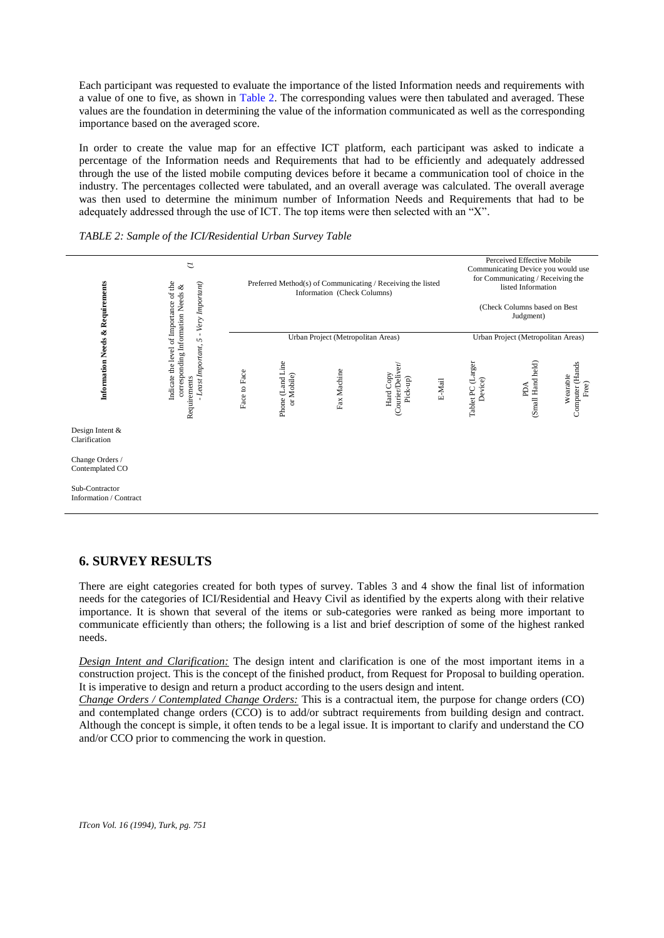Each participant was requested to evaluate the importance of the listed Information needs and requirements with a value of one to five, as shown in Table 2. The corresponding values were then tabulated and averaged. These values are the foundation in determining the value of the information communicated as well as the corresponding importance based on the averaged score.

In order to create the value map for an effective ICT platform, each participant was asked to indicate a percentage of the Information needs and Requirements that had to be efficiently and adequately addressed through the use of the listed mobile computing devices before it became a communication tool of choice in the industry. The percentages collected were tabulated, and an overall average was calculated. The overall average was then used to determine the minimum number of Information Needs and Requirements that had to be adequately addressed through the use of ICT. The top items were then selected with an "X".

### *TABLE 2: Sample of the ICI/Residential Urban Survey Table*



# **6. SURVEY RESULTS**

There are eight categories created for both types of survey. Tables 3 and 4 show the final list of information needs for the categories of ICI/Residential and Heavy Civil as identified by the experts along with their relative importance. It is shown that several of the items or sub-categories were ranked as being more important to communicate efficiently than others; the following is a list and brief description of some of the highest ranked needs.

*Design Intent and Clarification:* The design intent and clarification is one of the most important items in a construction project. This is the concept of the finished product, from Request for Proposal to building operation. It is imperative to design and return a product according to the users design and intent.

*Change Orders / Contemplated Change Orders:* This is a contractual item, the purpose for change orders (CO) and contemplated change orders (CCO) is to add/or subtract requirements from building design and contract. Although the concept is simple, it often tends to be a legal issue. It is important to clarify and understand the CO and/or CCO prior to commencing the work in question.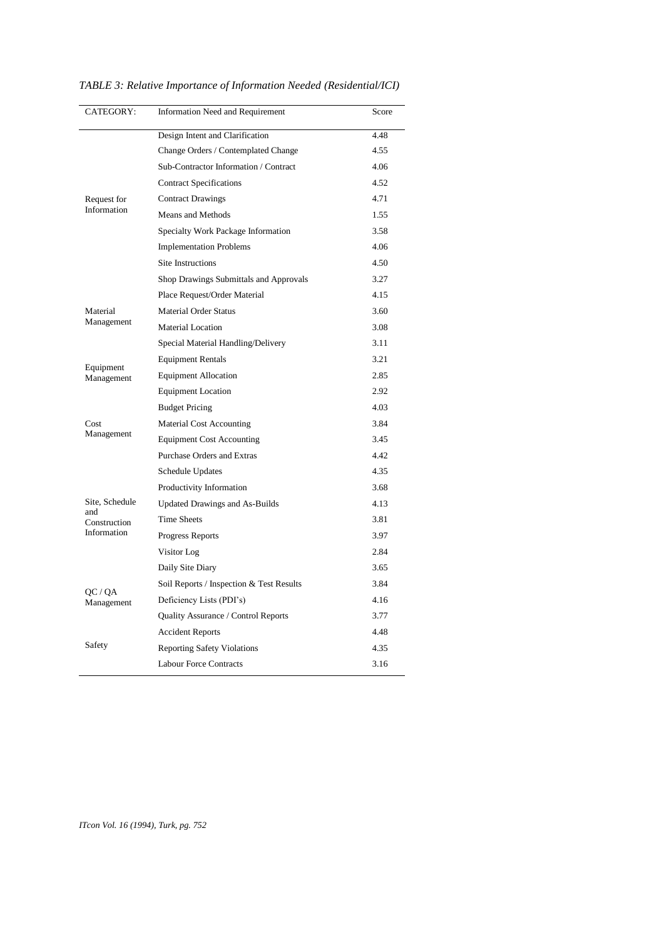| CATEGORY:             | <b>Information Need and Requirement</b>  | Score |
|-----------------------|------------------------------------------|-------|
|                       | Design Intent and Clarification          | 4.48  |
|                       | Change Orders / Contemplated Change      | 4.55  |
|                       | Sub-Contractor Information / Contract    | 4.06  |
|                       | <b>Contract Specifications</b>           | 4.52  |
| Request for           | <b>Contract Drawings</b>                 | 4.71  |
| Information           | Means and Methods                        | 1.55  |
|                       | Specialty Work Package Information       | 3.58  |
|                       | <b>Implementation Problems</b>           | 4.06  |
|                       | <b>Site Instructions</b>                 | 4.50  |
|                       | Shop Drawings Submittals and Approvals   | 3.27  |
|                       | Place Request/Order Material             | 4.15  |
| Material              | Material Order Status                    | 3.60  |
| Management            | <b>Material Location</b>                 | 3.08  |
|                       | Special Material Handling/Delivery       | 3.11  |
| Equipment             | <b>Equipment Rentals</b>                 | 3.21  |
| Management            | <b>Equipment Allocation</b>              | 2.85  |
|                       | <b>Equipment Location</b>                | 2.92  |
|                       | <b>Budget Pricing</b>                    | 4.03  |
| Cost                  | Material Cost Accounting                 | 3.84  |
| Management            | <b>Equipment Cost Accounting</b>         | 3.45  |
|                       | Purchase Orders and Extras               | 4.42  |
|                       | Schedule Updates                         | 4.35  |
|                       | Productivity Information                 | 3.68  |
| Site, Schedule<br>and | <b>Updated Drawings and As-Builds</b>    | 4.13  |
| Construction          | <b>Time Sheets</b>                       | 3.81  |
| Information           | Progress Reports                         | 3.97  |
|                       | Visitor Log                              | 2.84  |
|                       | Daily Site Diary                         | 3.65  |
| QC / QA               | Soil Reports / Inspection & Test Results | 3.84  |
| Management            | Deficiency Lists (PDI's)                 | 4.16  |
|                       | Quality Assurance / Control Reports      | 3.77  |
|                       | <b>Accident Reports</b>                  | 4.48  |
| Safety                | <b>Reporting Safety Violations</b>       | 4.35  |
|                       | Labour Force Contracts                   | 3.16  |

*TABLE 3: Relative Importance of Information Needed (Residential/ICI)*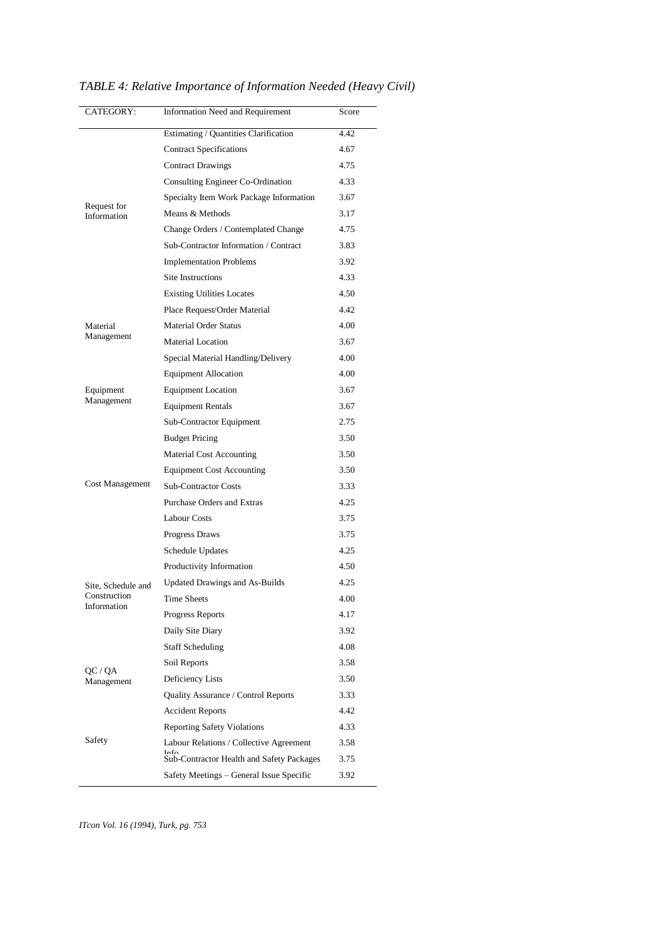| CATEGORY:                   | <b>Information Need and Requirement</b>   | Score |
|-----------------------------|-------------------------------------------|-------|
|                             | Estimating / Quantities Clarification     | 4.42  |
|                             | <b>Contract Specifications</b>            | 4.67  |
|                             | <b>Contract Drawings</b>                  | 4.75  |
|                             | Consulting Engineer Co-Ordination         | 4.33  |
|                             | Specialty Item Work Package Information   | 3.67  |
| Request for<br>Information  | Means & Methods                           | 3.17  |
|                             | Change Orders / Contemplated Change       | 4.75  |
|                             | Sub-Contractor Information / Contract     | 3.83  |
|                             | <b>Implementation Problems</b>            | 3.92  |
|                             | Site Instructions                         | 4.33  |
|                             | <b>Existing Utilities Locates</b>         | 4.50  |
|                             | Place Request/Order Material              | 4.42  |
| Material                    | <b>Material Order Status</b>              | 4.00  |
| Management                  | Material Location                         | 3.67  |
|                             | Special Material Handling/Delivery        | 4.00  |
|                             | <b>Equipment Allocation</b>               | 4.00  |
| Equipment                   | <b>Equipment Location</b>                 | 3.67  |
| Management                  | <b>Equipment Rentals</b>                  | 3.67  |
|                             | Sub-Contractor Equipment                  | 2.75  |
|                             | <b>Budget Pricing</b>                     | 3.50  |
|                             | <b>Material Cost Accounting</b>           | 3.50  |
|                             | <b>Equipment Cost Accounting</b>          | 3.50  |
| Cost Management             | <b>Sub-Contractor Costs</b>               | 3.33  |
|                             | Purchase Orders and Extras                | 4.25  |
|                             | <b>Labour Costs</b>                       | 3.75  |
|                             | Progress Draws                            | 3.75  |
|                             | Schedule Updates                          | 4.25  |
|                             | Productivity Information                  | 4.50  |
| Site, Schedule and          | <b>Updated Drawings and As-Builds</b>     | 4.25  |
| Construction<br>Information | Time Sheets                               | 4.00  |
|                             | <b>Progress Reports</b>                   | 4.17  |
|                             | Daily Site Diary                          | 3.92  |
|                             | <b>Staff Scheduling</b>                   | 4.08  |
|                             | Soil Reports                              | 3.58  |
| QC / QA<br>Management       | Deficiency Lists                          | 3.50  |
|                             | Quality Assurance / Control Reports       | 3.33  |
|                             | <b>Accident Reports</b>                   | 4.42  |
|                             | <b>Reporting Safety Violations</b>        | 4.33  |
| Safety                      | Labour Relations / Collective Agreement   | 3.58  |
|                             | Sub-Contractor Health and Safety Packages | 3.75  |
|                             | Safety Meetings - General Issue Specific  | 3.92  |

*TABLE 4: Relative Importance of Information Needed (Heavy Civil)*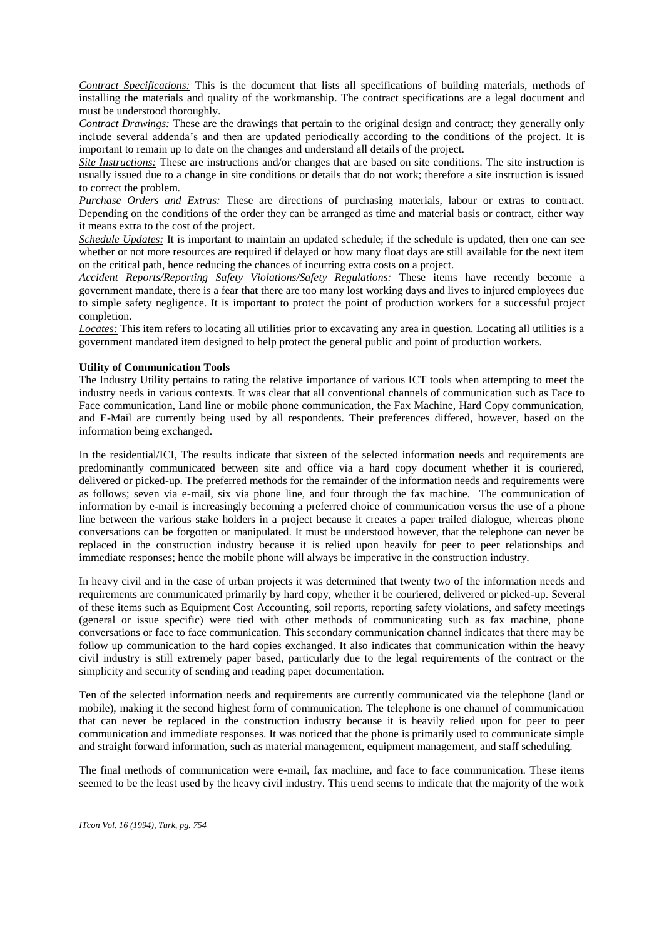*Contract Specifications:* This is the document that lists all specifications of building materials, methods of installing the materials and quality of the workmanship. The contract specifications are a legal document and must be understood thoroughly.

*Contract Drawings:* These are the drawings that pertain to the original design and contract; they generally only include several addenda's and then are updated periodically according to the conditions of the project. It is important to remain up to date on the changes and understand all details of the project.

*Site Instructions:* These are instructions and/or changes that are based on site conditions. The site instruction is usually issued due to a change in site conditions or details that do not work; therefore a site instruction is issued to correct the problem.

*Purchase Orders and Extras:* These are directions of purchasing materials, labour or extras to contract. Depending on the conditions of the order they can be arranged as time and material basis or contract, either way it means extra to the cost of the project.

*Schedule Updates:* It is important to maintain an updated schedule; if the schedule is updated, then one can see whether or not more resources are required if delayed or how many float days are still available for the next item on the critical path, hence reducing the chances of incurring extra costs on a project.

*Accident Reports/Reporting Safety Violations/Safety Regulations:* These items have recently become a government mandate, there is a fear that there are too many lost working days and lives to injured employees due to simple safety negligence. It is important to protect the point of production workers for a successful project completion.

*Locates:* This item refers to locating all utilities prior to excavating any area in question. Locating all utilities is a government mandated item designed to help protect the general public and point of production workers.

## **Utility of Communication Tools**

The Industry Utility pertains to rating the relative importance of various ICT tools when attempting to meet the industry needs in various contexts. It was clear that all conventional channels of communication such as Face to Face communication, Land line or mobile phone communication, the Fax Machine, Hard Copy communication, and E-Mail are currently being used by all respondents. Their preferences differed, however, based on the information being exchanged.

In the residential/ICI, The results indicate that sixteen of the selected information needs and requirements are predominantly communicated between site and office via a hard copy document whether it is couriered, delivered or picked-up. The preferred methods for the remainder of the information needs and requirements were as follows; seven via e-mail, six via phone line, and four through the fax machine. The communication of information by e-mail is increasingly becoming a preferred choice of communication versus the use of a phone line between the various stake holders in a project because it creates a paper trailed dialogue, whereas phone conversations can be forgotten or manipulated. It must be understood however, that the telephone can never be replaced in the construction industry because it is relied upon heavily for peer to peer relationships and immediate responses; hence the mobile phone will always be imperative in the construction industry.

In heavy civil and in the case of urban projects it was determined that twenty two of the information needs and requirements are communicated primarily by hard copy, whether it be couriered, delivered or picked-up. Several of these items such as Equipment Cost Accounting, soil reports, reporting safety violations, and safety meetings (general or issue specific) were tied with other methods of communicating such as fax machine, phone conversations or face to face communication. This secondary communication channel indicates that there may be follow up communication to the hard copies exchanged. It also indicates that communication within the heavy civil industry is still extremely paper based, particularly due to the legal requirements of the contract or the simplicity and security of sending and reading paper documentation.

Ten of the selected information needs and requirements are currently communicated via the telephone (land or mobile), making it the second highest form of communication. The telephone is one channel of communication that can never be replaced in the construction industry because it is heavily relied upon for peer to peer communication and immediate responses. It was noticed that the phone is primarily used to communicate simple and straight forward information, such as material management, equipment management, and staff scheduling.

The final methods of communication were e-mail, fax machine, and face to face communication. These items seemed to be the least used by the heavy civil industry. This trend seems to indicate that the majority of the work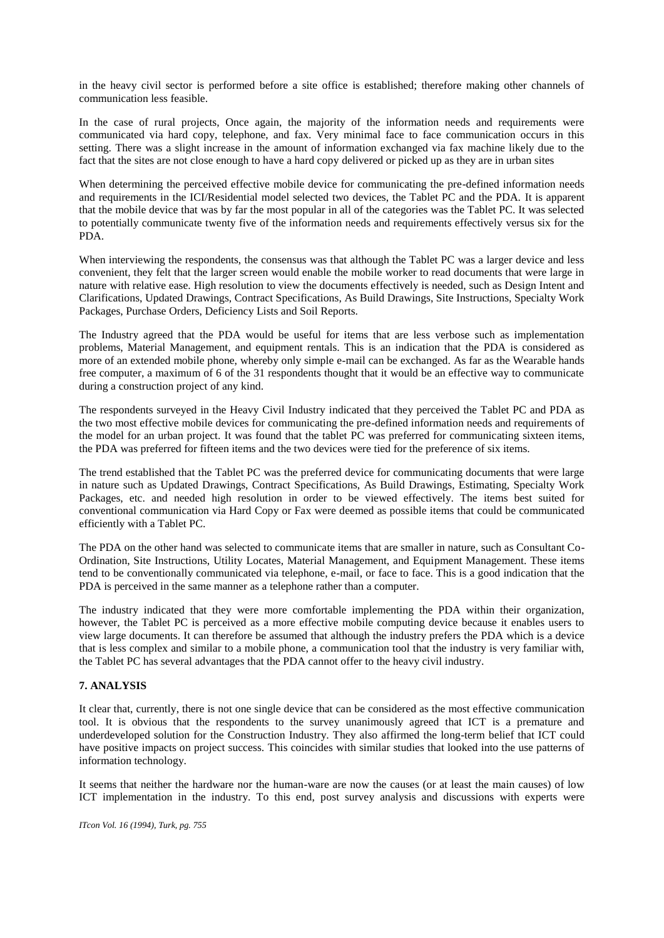in the heavy civil sector is performed before a site office is established; therefore making other channels of communication less feasible.

In the case of rural projects, Once again, the majority of the information needs and requirements were communicated via hard copy, telephone, and fax. Very minimal face to face communication occurs in this setting. There was a slight increase in the amount of information exchanged via fax machine likely due to the fact that the sites are not close enough to have a hard copy delivered or picked up as they are in urban sites

When determining the perceived effective mobile device for communicating the pre-defined information needs and requirements in the ICI/Residential model selected two devices, the Tablet PC and the PDA. It is apparent that the mobile device that was by far the most popular in all of the categories was the Tablet PC. It was selected to potentially communicate twenty five of the information needs and requirements effectively versus six for the PDA.

When interviewing the respondents, the consensus was that although the Tablet PC was a larger device and less convenient, they felt that the larger screen would enable the mobile worker to read documents that were large in nature with relative ease. High resolution to view the documents effectively is needed, such as Design Intent and Clarifications, Updated Drawings, Contract Specifications, As Build Drawings, Site Instructions, Specialty Work Packages, Purchase Orders, Deficiency Lists and Soil Reports.

The Industry agreed that the PDA would be useful for items that are less verbose such as implementation problems, Material Management, and equipment rentals. This is an indication that the PDA is considered as more of an extended mobile phone, whereby only simple e-mail can be exchanged. As far as the Wearable hands free computer, a maximum of 6 of the 31 respondents thought that it would be an effective way to communicate during a construction project of any kind.

The respondents surveyed in the Heavy Civil Industry indicated that they perceived the Tablet PC and PDA as the two most effective mobile devices for communicating the pre-defined information needs and requirements of the model for an urban project. It was found that the tablet PC was preferred for communicating sixteen items, the PDA was preferred for fifteen items and the two devices were tied for the preference of six items.

The trend established that the Tablet PC was the preferred device for communicating documents that were large in nature such as Updated Drawings, Contract Specifications, As Build Drawings, Estimating, Specialty Work Packages, etc. and needed high resolution in order to be viewed effectively. The items best suited for conventional communication via Hard Copy or Fax were deemed as possible items that could be communicated efficiently with a Tablet PC.

The PDA on the other hand was selected to communicate items that are smaller in nature, such as Consultant Co-Ordination, Site Instructions, Utility Locates, Material Management, and Equipment Management. These items tend to be conventionally communicated via telephone, e-mail, or face to face. This is a good indication that the PDA is perceived in the same manner as a telephone rather than a computer.

The industry indicated that they were more comfortable implementing the PDA within their organization, however, the Tablet PC is perceived as a more effective mobile computing device because it enables users to view large documents. It can therefore be assumed that although the industry prefers the PDA which is a device that is less complex and similar to a mobile phone, a communication tool that the industry is very familiar with, the Tablet PC has several advantages that the PDA cannot offer to the heavy civil industry.

### **7. ANALYSIS**

It clear that, currently, there is not one single device that can be considered as the most effective communication tool. It is obvious that the respondents to the survey unanimously agreed that ICT is a premature and underdeveloped solution for the Construction Industry. They also affirmed the long-term belief that ICT could have positive impacts on project success. This coincides with similar studies that looked into the use patterns of information technology.

It seems that neither the hardware nor the human-ware are now the causes (or at least the main causes) of low ICT implementation in the industry. To this end, post survey analysis and discussions with experts were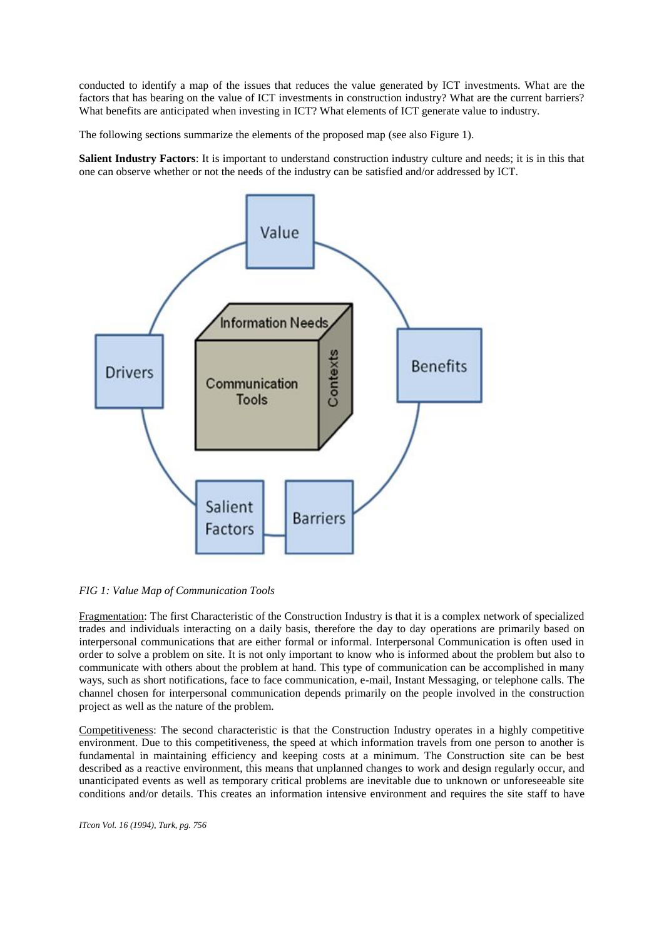conducted to identify a map of the issues that reduces the value generated by ICT investments. What are the factors that has bearing on the value of ICT investments in construction industry? What are the current barriers? What benefits are anticipated when investing in ICT? What elements of ICT generate value to industry.

The following sections summarize the elements of the proposed map (see also Figure 1).

**Salient Industry Factors**: It is important to understand construction industry culture and needs; it is in this that one can observe whether or not the needs of the industry can be satisfied and/or addressed by ICT.



#### *FIG 1: Value Map of Communication Tools*

Fragmentation: The first Characteristic of the Construction Industry is that it is a complex network of specialized trades and individuals interacting on a daily basis, therefore the day to day operations are primarily based on interpersonal communications that are either formal or informal. Interpersonal Communication is often used in order to solve a problem on site. It is not only important to know who is informed about the problem but also to communicate with others about the problem at hand. This type of communication can be accomplished in many ways, such as short notifications, face to face communication, e-mail, Instant Messaging, or telephone calls. The channel chosen for interpersonal communication depends primarily on the people involved in the construction project as well as the nature of the problem.

Competitiveness: The second characteristic is that the Construction Industry operates in a highly competitive environment. Due to this competitiveness, the speed at which information travels from one person to another is fundamental in maintaining efficiency and keeping costs at a minimum. The Construction site can be best described as a reactive environment, this means that unplanned changes to work and design regularly occur, and unanticipated events as well as temporary critical problems are inevitable due to unknown or unforeseeable site conditions and/or details. This creates an information intensive environment and requires the site staff to have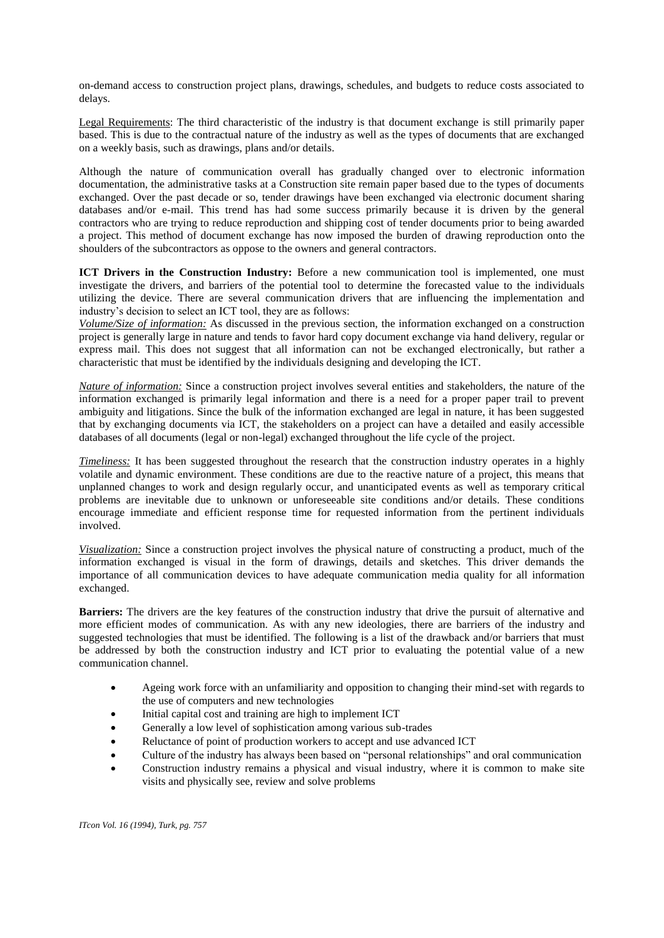on-demand access to construction project plans, drawings, schedules, and budgets to reduce costs associated to delays.

Legal Requirements: The third characteristic of the industry is that document exchange is still primarily paper based. This is due to the contractual nature of the industry as well as the types of documents that are exchanged on a weekly basis, such as drawings, plans and/or details.

Although the nature of communication overall has gradually changed over to electronic information documentation, the administrative tasks at a Construction site remain paper based due to the types of documents exchanged. Over the past decade or so, tender drawings have been exchanged via electronic document sharing databases and/or e-mail. This trend has had some success primarily because it is driven by the general contractors who are trying to reduce reproduction and shipping cost of tender documents prior to being awarded a project. This method of document exchange has now imposed the burden of drawing reproduction onto the shoulders of the subcontractors as oppose to the owners and general contractors.

**ICT Drivers in the Construction Industry:** Before a new communication tool is implemented, one must investigate the drivers, and barriers of the potential tool to determine the forecasted value to the individuals utilizing the device. There are several communication drivers that are influencing the implementation and industry's decision to select an ICT tool, they are as follows:

*Volume/Size of information:* As discussed in the previous section, the information exchanged on a construction project is generally large in nature and tends to favor hard copy document exchange via hand delivery, regular or express mail. This does not suggest that all information can not be exchanged electronically, but rather a characteristic that must be identified by the individuals designing and developing the ICT.

*Nature of information:* Since a construction project involves several entities and stakeholders, the nature of the information exchanged is primarily legal information and there is a need for a proper paper trail to prevent ambiguity and litigations. Since the bulk of the information exchanged are legal in nature, it has been suggested that by exchanging documents via ICT, the stakeholders on a project can have a detailed and easily accessible databases of all documents (legal or non-legal) exchanged throughout the life cycle of the project.

*Timeliness:* It has been suggested throughout the research that the construction industry operates in a highly volatile and dynamic environment. These conditions are due to the reactive nature of a project, this means that unplanned changes to work and design regularly occur, and unanticipated events as well as temporary critical problems are inevitable due to unknown or unforeseeable site conditions and/or details. These conditions encourage immediate and efficient response time for requested information from the pertinent individuals involved.

*Visualization:* Since a construction project involves the physical nature of constructing a product, much of the information exchanged is visual in the form of drawings, details and sketches. This driver demands the importance of all communication devices to have adequate communication media quality for all information exchanged.

**Barriers:** The drivers are the key features of the construction industry that drive the pursuit of alternative and more efficient modes of communication. As with any new ideologies, there are barriers of the industry and suggested technologies that must be identified. The following is a list of the drawback and/or barriers that must be addressed by both the construction industry and ICT prior to evaluating the potential value of a new communication channel.

- Ageing work force with an unfamiliarity and opposition to changing their mind-set with regards to the use of computers and new technologies
- Initial capital cost and training are high to implement ICT
- Generally a low level of sophistication among various sub-trades
- Reluctance of point of production workers to accept and use advanced ICT
- Culture of the industry has always been based on "personal relationships" and oral communication
- Construction industry remains a physical and visual industry, where it is common to make site visits and physically see, review and solve problems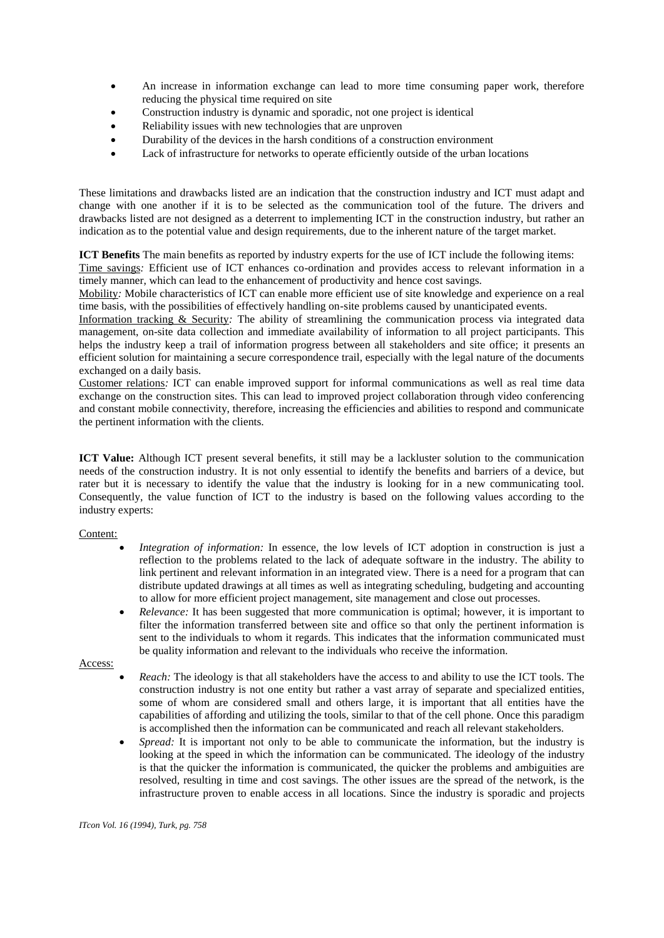- An increase in information exchange can lead to more time consuming paper work, therefore reducing the physical time required on site
- Construction industry is dynamic and sporadic, not one project is identical
- Reliability issues with new technologies that are unproven
- Durability of the devices in the harsh conditions of a construction environment
- Lack of infrastructure for networks to operate efficiently outside of the urban locations

These limitations and drawbacks listed are an indication that the construction industry and ICT must adapt and change with one another if it is to be selected as the communication tool of the future. The drivers and drawbacks listed are not designed as a deterrent to implementing ICT in the construction industry, but rather an indication as to the potential value and design requirements, due to the inherent nature of the target market.

**ICT Benefits** The main benefits as reported by industry experts for the use of ICT include the following items:

Time savings*:* Efficient use of ICT enhances co-ordination and provides access to relevant information in a timely manner, which can lead to the enhancement of productivity and hence cost savings.

Mobility*:* Mobile characteristics of ICT can enable more efficient use of site knowledge and experience on a real time basis, with the possibilities of effectively handling on-site problems caused by unanticipated events.

Information tracking & Security*:* The ability of streamlining the communication process via integrated data management, on-site data collection and immediate availability of information to all project participants. This helps the industry keep a trail of information progress between all stakeholders and site office; it presents an efficient solution for maintaining a secure correspondence trail, especially with the legal nature of the documents exchanged on a daily basis.

Customer relations*:* ICT can enable improved support for informal communications as well as real time data exchange on the construction sites. This can lead to improved project collaboration through video conferencing and constant mobile connectivity, therefore, increasing the efficiencies and abilities to respond and communicate the pertinent information with the clients.

**ICT Value:** Although ICT present several benefits, it still may be a lackluster solution to the communication needs of the construction industry. It is not only essential to identify the benefits and barriers of a device, but rater but it is necessary to identify the value that the industry is looking for in a new communicating tool. Consequently, the value function of ICT to the industry is based on the following values according to the industry experts:

#### Content:

- *Integration of information:* In essence, the low levels of ICT adoption in construction is just a reflection to the problems related to the lack of adequate software in the industry. The ability to link pertinent and relevant information in an integrated view. There is a need for a program that can distribute updated drawings at all times as well as integrating scheduling, budgeting and accounting to allow for more efficient project management, site management and close out processes.
- *Relevance:* It has been suggested that more communication is optimal; however, it is important to filter the information transferred between site and office so that only the pertinent information is sent to the individuals to whom it regards. This indicates that the information communicated must be quality information and relevant to the individuals who receive the information.

#### Access:

- *Reach:* The ideology is that all stakeholders have the access to and ability to use the ICT tools. The construction industry is not one entity but rather a vast array of separate and specialized entities, some of whom are considered small and others large, it is important that all entities have the capabilities of affording and utilizing the tools, similar to that of the cell phone. Once this paradigm is accomplished then the information can be communicated and reach all relevant stakeholders.
- *Spread:* It is important not only to be able to communicate the information, but the industry is looking at the speed in which the information can be communicated. The ideology of the industry is that the quicker the information is communicated, the quicker the problems and ambiguities are resolved, resulting in time and cost savings. The other issues are the spread of the network, is the infrastructure proven to enable access in all locations. Since the industry is sporadic and projects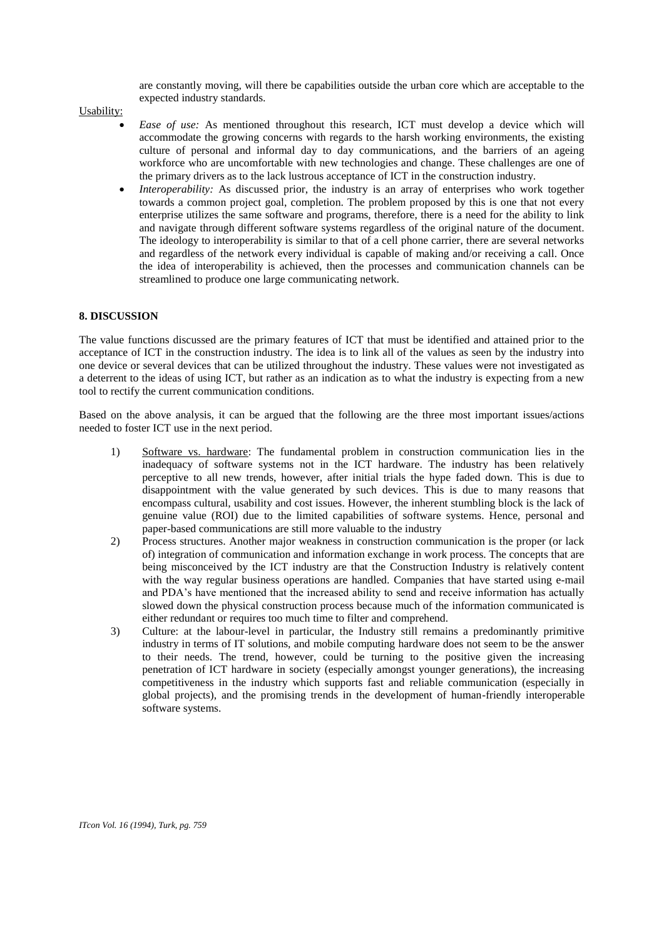are constantly moving, will there be capabilities outside the urban core which are acceptable to the expected industry standards.

Usability:

- *Ease of use:* As mentioned throughout this research, ICT must develop a device which will accommodate the growing concerns with regards to the harsh working environments, the existing culture of personal and informal day to day communications, and the barriers of an ageing workforce who are uncomfortable with new technologies and change. These challenges are one of the primary drivers as to the lack lustrous acceptance of ICT in the construction industry.
- *Interoperability:* As discussed prior, the industry is an array of enterprises who work together towards a common project goal, completion. The problem proposed by this is one that not every enterprise utilizes the same software and programs, therefore, there is a need for the ability to link and navigate through different software systems regardless of the original nature of the document. The ideology to interoperability is similar to that of a cell phone carrier, there are several networks and regardless of the network every individual is capable of making and/or receiving a call. Once the idea of interoperability is achieved, then the processes and communication channels can be streamlined to produce one large communicating network.

### **8. DISCUSSION**

The value functions discussed are the primary features of ICT that must be identified and attained prior to the acceptance of ICT in the construction industry. The idea is to link all of the values as seen by the industry into one device or several devices that can be utilized throughout the industry. These values were not investigated as a deterrent to the ideas of using ICT, but rather as an indication as to what the industry is expecting from a new tool to rectify the current communication conditions.

Based on the above analysis, it can be argued that the following are the three most important issues/actions needed to foster ICT use in the next period.

- 1) Software vs. hardware: The fundamental problem in construction communication lies in the inadequacy of software systems not in the ICT hardware. The industry has been relatively perceptive to all new trends, however, after initial trials the hype faded down. This is due to disappointment with the value generated by such devices. This is due to many reasons that encompass cultural, usability and cost issues. However, the inherent stumbling block is the lack of genuine value (ROI) due to the limited capabilities of software systems. Hence, personal and paper-based communications are still more valuable to the industry
- 2) Process structures. Another major weakness in construction communication is the proper (or lack of) integration of communication and information exchange in work process. The concepts that are being misconceived by the ICT industry are that the Construction Industry is relatively content with the way regular business operations are handled. Companies that have started using e-mail and PDA's have mentioned that the increased ability to send and receive information has actually slowed down the physical construction process because much of the information communicated is either redundant or requires too much time to filter and comprehend.
- 3) Culture: at the labour-level in particular, the Industry still remains a predominantly primitive industry in terms of IT solutions, and mobile computing hardware does not seem to be the answer to their needs. The trend, however, could be turning to the positive given the increasing penetration of ICT hardware in society (especially amongst younger generations), the increasing competitiveness in the industry which supports fast and reliable communication (especially in global projects), and the promising trends in the development of human-friendly interoperable software systems.